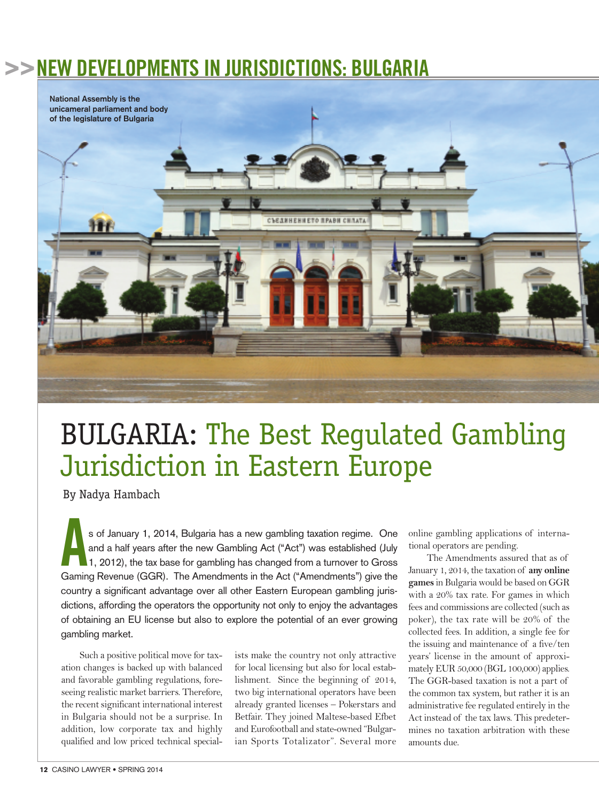## **>>NEW DEVELOPMENTS IN JURISDICTIONS: BULGARIA**



## BULGARIA: The Best Regulated Gambling Jurisdiction in Eastern Europe

By Nadya Hambach

**A**<sup>s</sup> of January 1, 2014, Bulgaria has <sup>a</sup> new gambling taxation regime. One and a half years after the new Gambling Act ("Act") was established (July  $\vert$ 1, 2012), the tax base for gambling has changed from a turnover to Gross Gaming Revenue (GGR). The Amendments in the Act ("Amendments") give the country a significant advantage over all other Eastern European gambling jurisdictions, affording the operators the opportunity not only to enjoy the advantages of obtaining an EU license but also to explore the potential of an ever growing gambling market.

Such a positive political move for taxation changes is backed up with balanced and favorable gambling regulations, foreseeing realistic market barriers. Therefore, the recent significant international interest in Bulgaria should not be a surprise. In addition, low corporate tax and highly qualified and low priced technical specialists make the country not only attractive for local licensing but also for local establishment. Since the beginning of 2014, two big international operators have been already granted licenses – Pokerstars and Betfair. They joined Maltese-based Efbet and Eurofootball and state-owned "Bulgarian Sports Totalizator". Several more online gambling applications of international operators are pending.

The Amendments assured that as of January 1, 2014, the taxation of **any online games** in Bulgaria would be based on GGR with a 20% tax rate. For games in which fees and commissions are collected (such as poker), the tax rate will be 20% of the collected fees. In addition, a single fee for the issuing and maintenance of a five/ten years' license in the amount of approximately EUR 50,000 (BGL 100,000) applies. The GGR-based taxation is not a part of the common tax system, but rather it is an administrative fee regulated entirely in the Act instead of the tax laws. This predetermines no taxation arbitration with these amounts due.